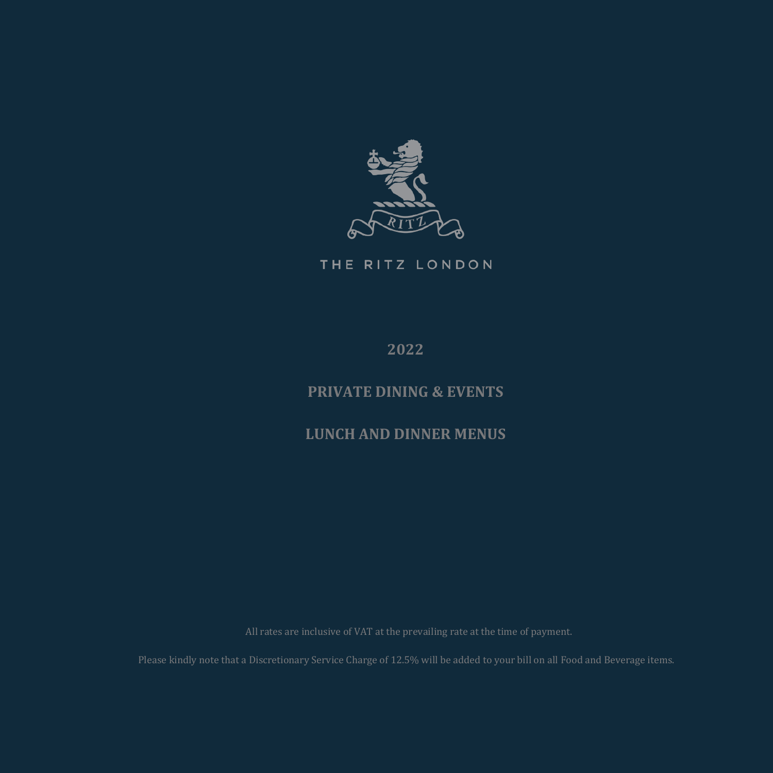

THE RITZ LONDON

**2022**

# **PRIVATE DINING & EVENTS**

**LUNCH AND DINNER MENUS**

Please kindly note that a Discretionary Service Charge of 12.5% will be added to your bill on all Food and Beverage items.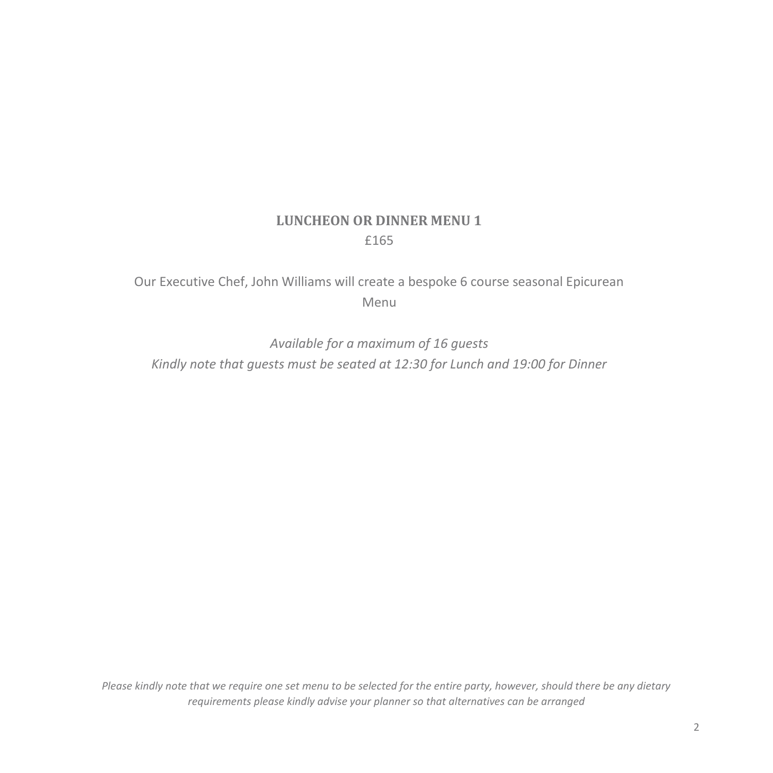# **LUNCHEON OR DINNER MENU 1** £165

Our Executive Chef, John Williams will create a bespoke 6 course seasonal Epicurean Menu

*Available for a maximum of 16 guests Kindly note that guests must be seated at 12:30 for Lunch and 19:00 for Dinner*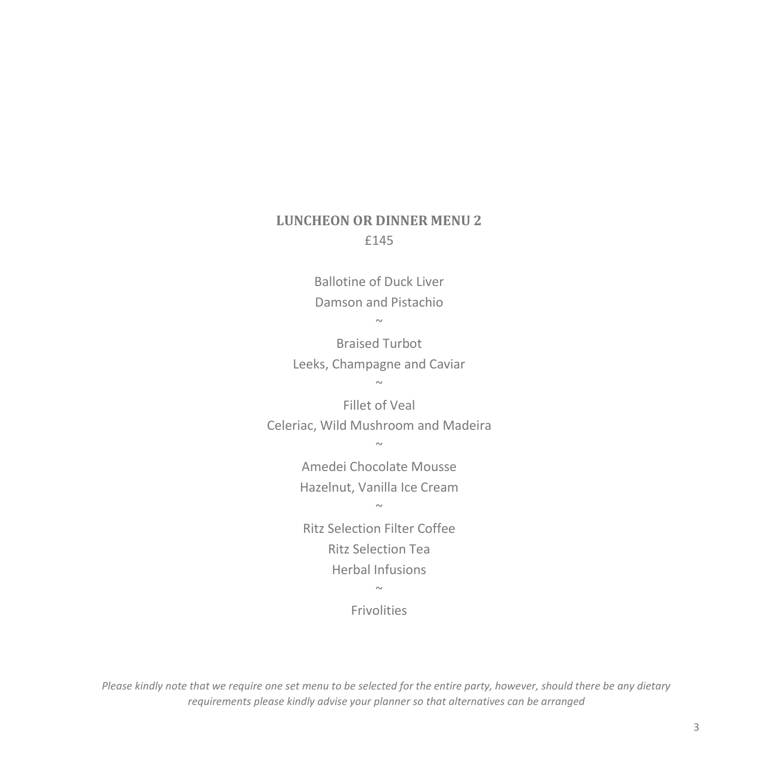## **LUNCHEON OR DINNER MENU 2** £145

Ballotine of Duck Liver Damson and Pistachio

 $\sim$ 

Braised Turbot Leeks, Champagne and Caviar  $\sim$ 

Fillet of Veal Celeriac, Wild Mushroom and Madeira

~

Amedei Chocolate Mousse Hazelnut, Vanilla Ice Cream

 $\sim$ 

Ritz Selection Filter Coffee Ritz Selection Tea Herbal Infusions

 $\sim$ 

Frivolities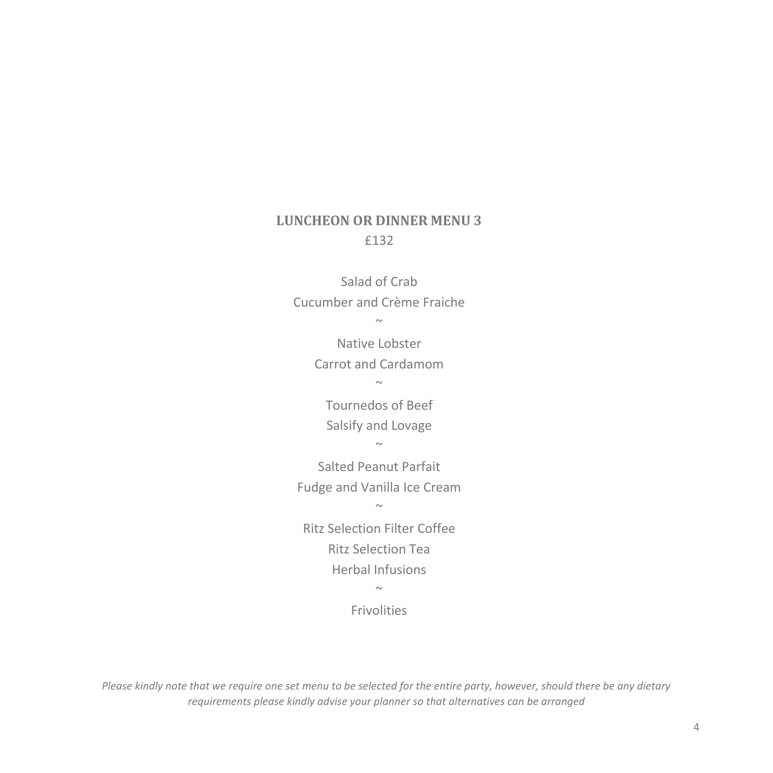# **LUNCHEON OR DINNER MENU 3** £132

Salad of Crab Cucumber and Crème Fraiche ~

> Native Lobster Carrot and Cardamom  $\sim$

Tournedos of Beef Salsify and Lovage ~~

Salted Peanut Parfait Fudge and Vanilla Ice Cream

 $\sim$ 

Ritz Selection Filter Coffee Ritz Selection Tea Herbal Infusions

 $\sim$ 

Frivolities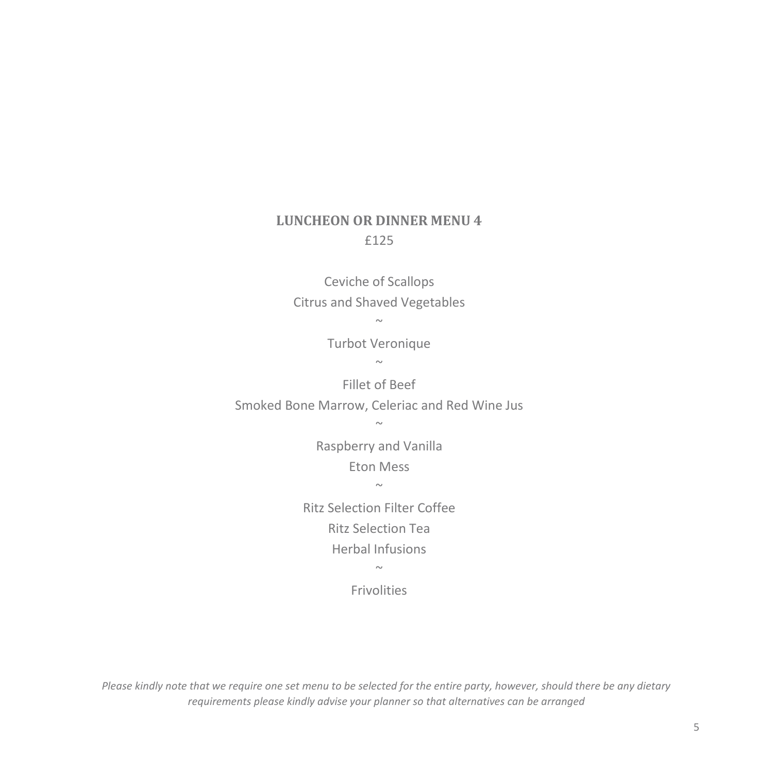# **LUNCHEON OR DINNER MENU 4** £125

Ceviche of Scallops Citrus and Shaved Vegetables

> $\sim$ Turbot Veronique

> > $\sim$

Fillet of Beef Smoked Bone Marrow, Celeriac and Red Wine Jus

~

Raspberry and Vanilla Eton Mess

 $\sim$ 

Ritz Selection Filter Coffee Ritz Selection Tea Herbal Infusions

 $\sim$ 

Frivolities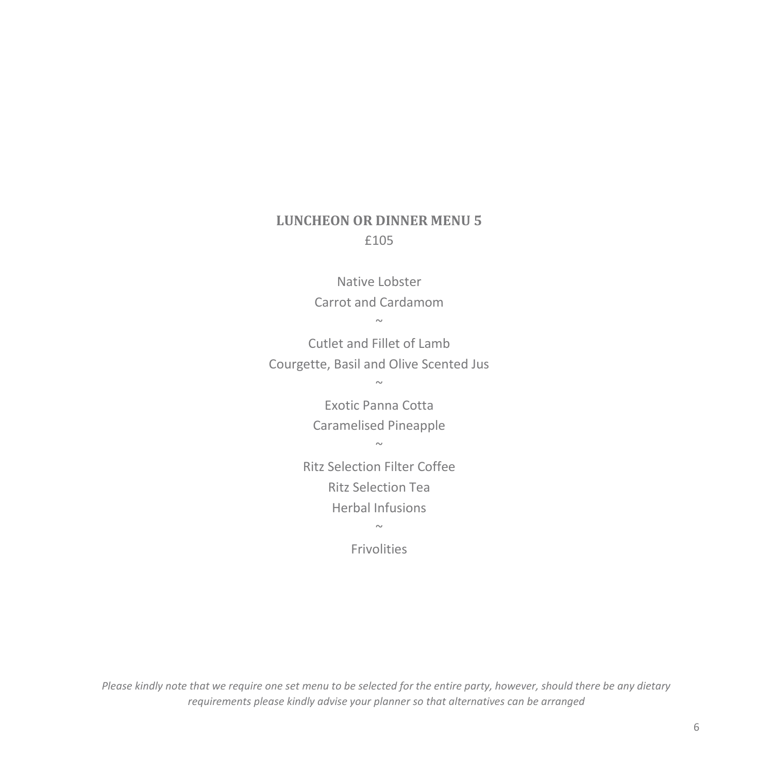# **LUNCHEON OR DINNER MENU 5** £105

Native Lobster Carrot and Cardamom  $\sim$ 

Cutlet and Fillet of Lamb Courgette, Basil and Olive Scented Jus

 $\sim$ 

Exotic Panna Cotta Caramelised Pineapple

 $\sim$ 

Ritz Selection Filter Coffee Ritz Selection Tea Herbal Infusions

~

Frivolities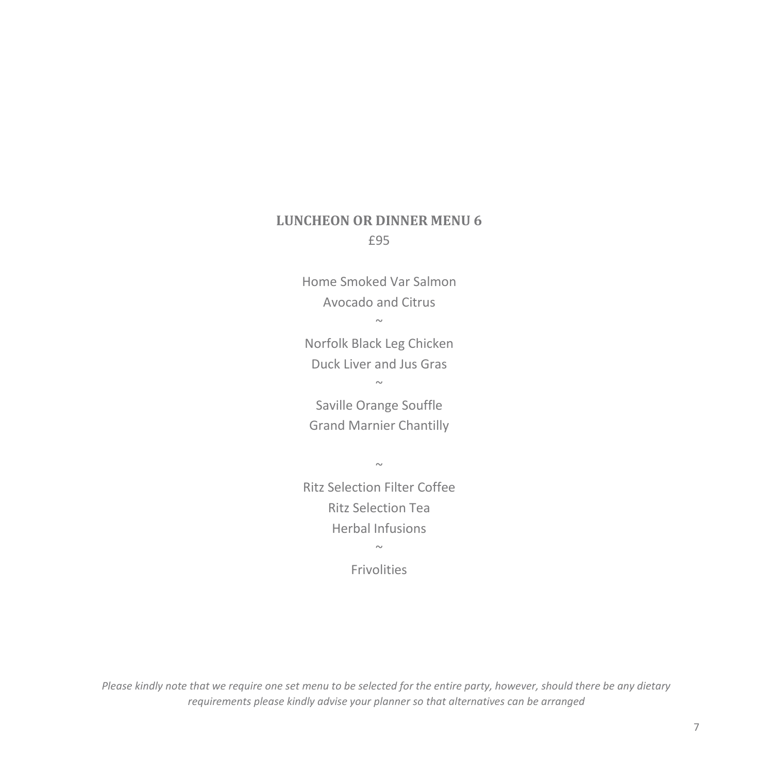### **LUNCHEON OR DINNER MENU 6** £95

Home Smoked Var Salmon Avocado and Citrus

 $\sim$ 

Norfolk Black Leg Chicken Duck Liver and Jus Gras ~

Saville Orange Souffle Grand Marnier Chantilly

 $\sim$ 

Ritz Selection Filter Coffee Ritz Selection Tea Herbal Infusions  $\sim$ 

Frivolities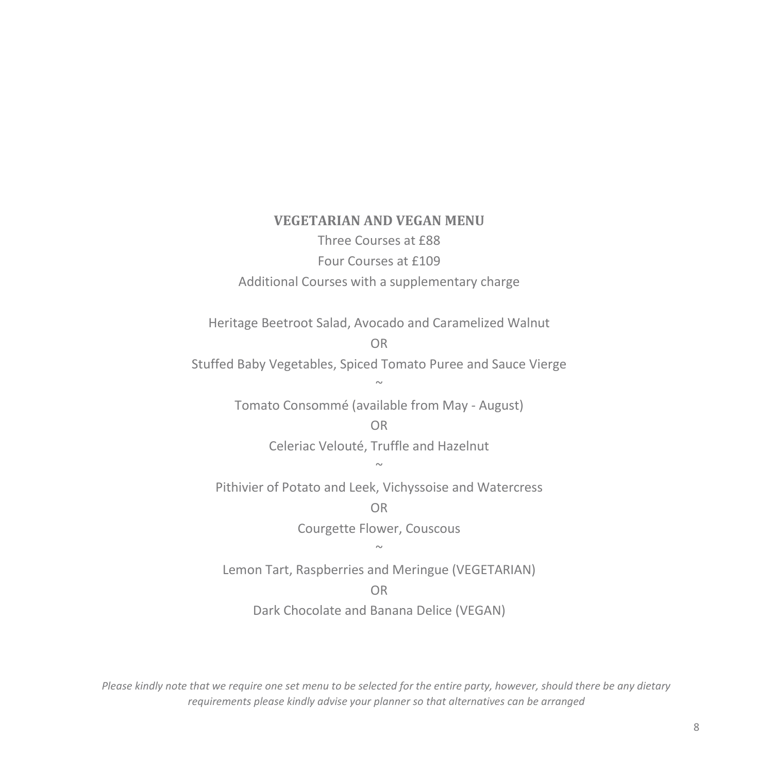### **VEGETARIAN AND VEGAN MENU** Three Courses at £88

Four Courses at £109 Additional Courses with a supplementary charge

Heritage Beetroot Salad, Avocado and Caramelized Walnut

OR

Stuffed Baby Vegetables, Spiced Tomato Puree and Sauce Vierge

 $\sim$ 

Tomato Consommé (available from May - August)

#### OR

Celeriac Velouté, Truffle and Hazelnut

#### $\sim$

Pithivier of Potato and Leek, Vichyssoise and Watercress

OR

Courgette Flower, Couscous

#### $\sim$

Lemon Tart, Raspberries and Meringue (VEGETARIAN)

#### OR

Dark Chocolate and Banana Delice (VEGAN)